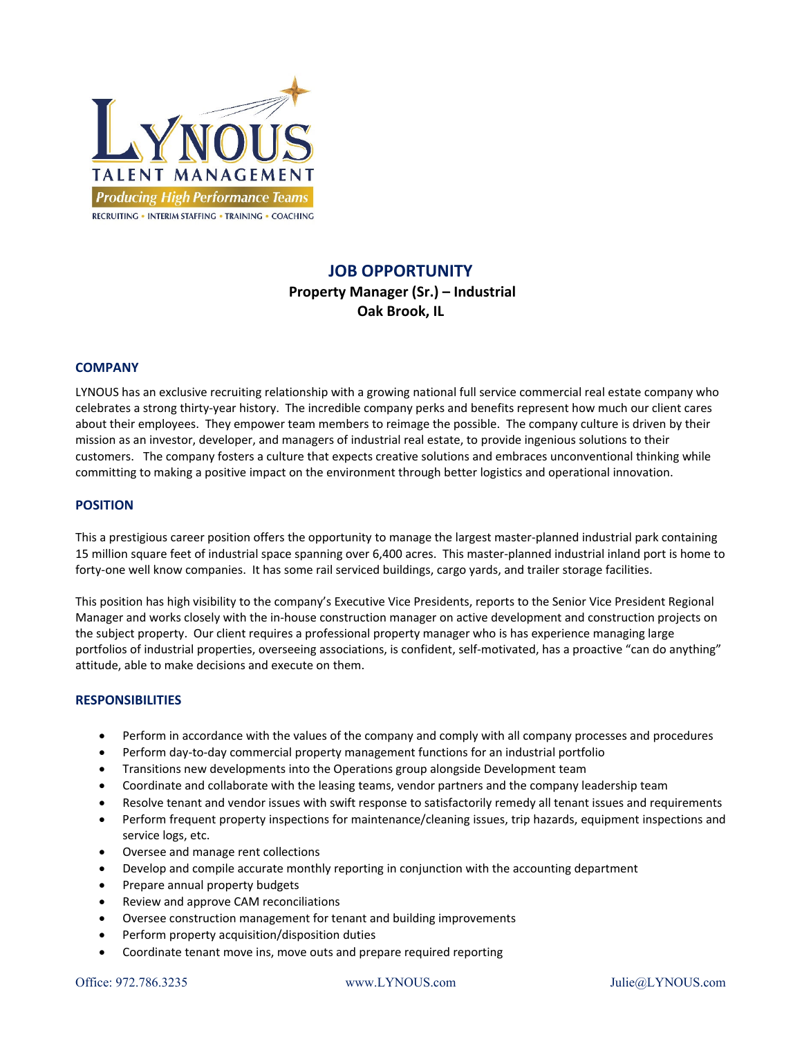

# **JOB OPPORTUNITY**

# **Property Manager (Sr.) – Industrial Oak Brook, IL**

## **COMPANY**

LYNOUS has an exclusive recruiting relationship with a growing national full service commercial real estate company who celebrates a strong thirty‐year history. The incredible company perks and benefits represent how much our client cares about their employees. They empower team members to reimage the possible. The company culture is driven by their mission as an investor, developer, and managers of industrial real estate, to provide ingenious solutions to their customers. The company fosters a culture that expects creative solutions and embraces unconventional thinking while committing to making a positive impact on the environment through better logistics and operational innovation.

#### **POSITION**

This a prestigious career position offers the opportunity to manage the largest master‐planned industrial park containing 15 million square feet of industrial space spanning over 6,400 acres. This master‐planned industrial inland port is home to forty-one well know companies. It has some rail serviced buildings, cargo yards, and trailer storage facilities.

This position has high visibility to the company's Executive Vice Presidents, reports to the Senior Vice President Regional Manager and works closely with the in-house construction manager on active development and construction projects on the subject property. Our client requires a professional property manager who is has experience managing large portfolios of industrial properties, overseeing associations, is confident, self-motivated, has a proactive "can do anything" attitude, able to make decisions and execute on them.

#### **RESPONSIBILITIES**

- Perform in accordance with the values of the company and comply with all company processes and procedures
- Perform day‐to‐day commercial property management functions for an industrial portfolio
- Transitions new developments into the Operations group alongside Development team
- Coordinate and collaborate with the leasing teams, vendor partners and the company leadership team
- Resolve tenant and vendor issues with swift response to satisfactorily remedy all tenant issues and requirements
- Perform frequent property inspections for maintenance/cleaning issues, trip hazards, equipment inspections and service logs, etc.
- Oversee and manage rent collections
- Develop and compile accurate monthly reporting in conjunction with the accounting department
- Prepare annual property budgets
- Review and approve CAM reconciliations
- Oversee construction management for tenant and building improvements
- Perform property acquisition/disposition duties
- Coordinate tenant move ins, move outs and prepare required reporting